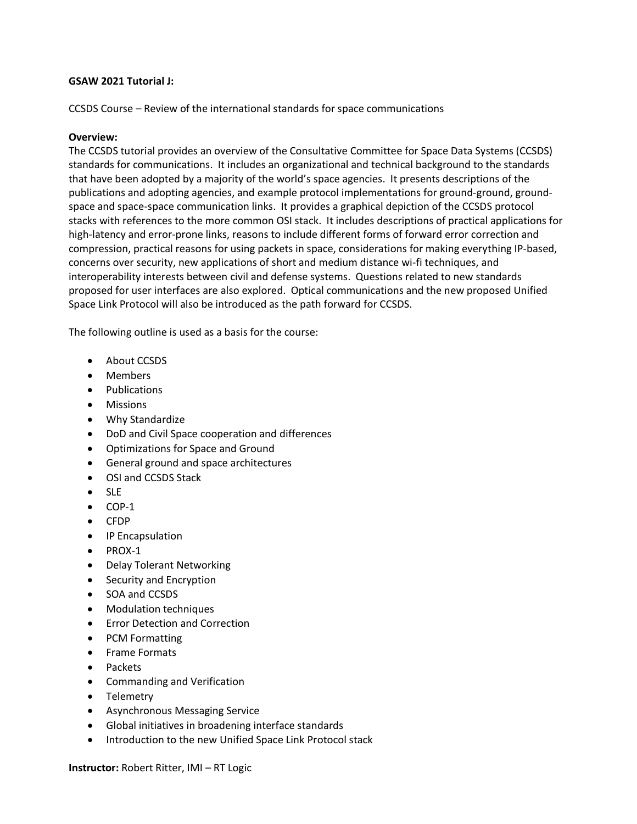# **GSAW 2021 Tutorial J:**

CCSDS Course – Review of the international standards for space communications

### **Overview:**

The CCSDS tutorial provides an overview of the Consultative Committee for Space Data Systems (CCSDS) standards for communications. It includes an organizational and technical background to the standards that have been adopted by a majority of the world's space agencies. It presents descriptions of the publications and adopting agencies, and example protocol implementations for ground-ground, groundspace and space-space communication links. It provides a graphical depiction of the CCSDS protocol stacks with references to the more common OSI stack. It includes descriptions of practical applications for high-latency and error-prone links, reasons to include different forms of forward error correction and compression, practical reasons for using packets in space, considerations for making everything IP-based, concerns over security, new applications of short and medium distance wi-fi techniques, and interoperability interests between civil and defense systems. Questions related to new standards proposed for user interfaces are also explored. Optical communications and the new proposed Unified Space Link Protocol will also be introduced as the path forward for CCSDS.

The following outline is used as a basis for the course:

- About CCSDS
- Members
- Publications
- Missions
- Why Standardize
- DoD and Civil Space cooperation and differences
- Optimizations for Space and Ground
- General ground and space architectures
- OSI and CCSDS Stack
- SLE
- COP-1
- CFDP
- IP Encapsulation
- PROX-1
- Delay Tolerant Networking
- Security and Encryption
- SOA and CCSDS
- Modulation techniques
- Error Detection and Correction
- PCM Formatting
- Frame Formats
- Packets
- Commanding and Verification
- **Telemetry**
- Asynchronous Messaging Service
- Global initiatives in broadening interface standards
- Introduction to the new Unified Space Link Protocol stack

**Instructor:** Robert Ritter, IMI – RT Logic